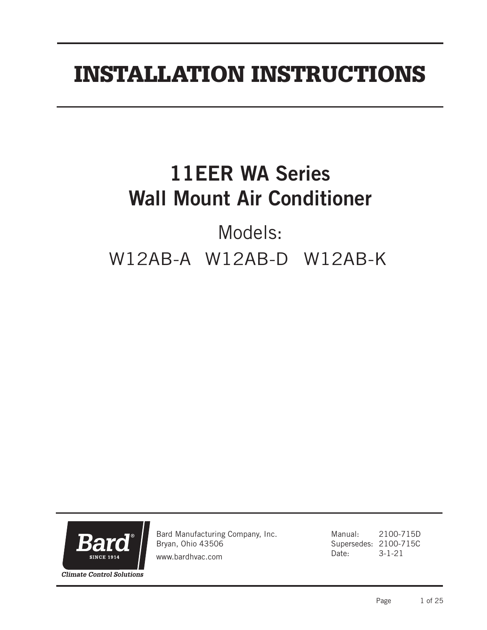# INSTALLATION INSTRUCTIONS

# 11EER WA Series Wall Mount Air Conditioner

# Models: W12AB-A W12AB-D W12AB-K



Bard Manufacturing Company, Inc. Bryan, Ohio 43506

www.bardhvac.com

Manual: 2100-715D Supersedes: 2100-715C Date: 3-1-21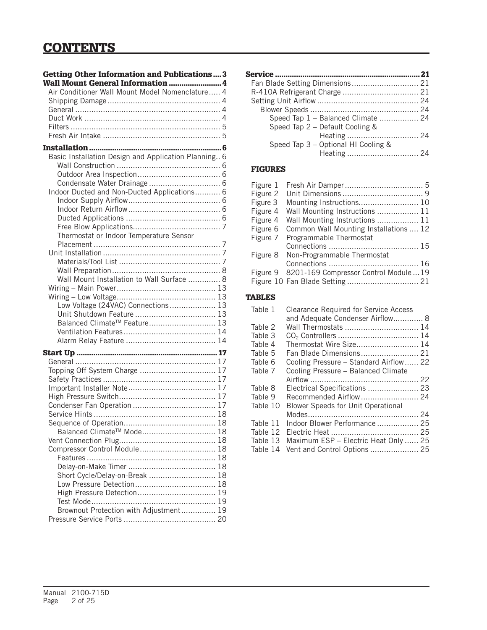# **CONTENTS**

| <b>Getting Other Information and Publications3</b>   |  |
|------------------------------------------------------|--|
| Wall Mount General Information  4                    |  |
| Air Conditioner Wall Mount Model Nomenclature 4      |  |
|                                                      |  |
|                                                      |  |
|                                                      |  |
|                                                      |  |
|                                                      |  |
|                                                      |  |
| Basic Installation Design and Application Planning 6 |  |
|                                                      |  |
|                                                      |  |
|                                                      |  |
| Indoor Ducted and Non-Ducted Applications 6          |  |
|                                                      |  |
|                                                      |  |
|                                                      |  |
| Thermostat or Indoor Temperature Sensor              |  |
|                                                      |  |
|                                                      |  |
|                                                      |  |
|                                                      |  |
| Wall Mount Installation to Wall Surface  8           |  |
|                                                      |  |
|                                                      |  |
| Low Voltage (24VAC) Connections 13                   |  |
|                                                      |  |
| Balanced Climate <sup>™</sup> Feature 13             |  |
|                                                      |  |
|                                                      |  |
|                                                      |  |
|                                                      |  |
| Topping Off System Charge  17                        |  |
|                                                      |  |
|                                                      |  |
|                                                      |  |
|                                                      |  |
|                                                      |  |
| Balanced Climate <sup>™</sup> Mode 18                |  |
|                                                      |  |
| Compressor Control Module 18                         |  |
|                                                      |  |
|                                                      |  |
| Short Cycle/Delay-on-Break  18                       |  |
|                                                      |  |
| High Pressure Detection 19                           |  |
|                                                      |  |
| Brownout Protection with Adjustment 19               |  |
|                                                      |  |

| Speed Tap 1 - Balanced Climate  24  |  |
|-------------------------------------|--|
| Speed Tap 2 - Default Cooling &     |  |
| Heating  24                         |  |
| Speed Tap 3 - Optional HI Cooling & |  |
| Heating  24                         |  |
|                                     |  |

#### FIGURES

| Figure 1 |                                                 |  |
|----------|-------------------------------------------------|--|
| Figure 2 |                                                 |  |
| Figure 3 |                                                 |  |
| Figure 4 | Wall Mounting Instructions  11                  |  |
| Figure 4 | Wall Mounting Instructions  11                  |  |
| Figure 6 | Common Wall Mounting Installations  12          |  |
| Figure 7 | Programmable Thermostat                         |  |
|          |                                                 |  |
| Figure 8 | Non-Programmable Thermostat                     |  |
|          |                                                 |  |
|          | Figure 9 8201-169 Compressor Control Module  19 |  |
|          |                                                 |  |

#### TABLES

| Table 1  | <b>Clearance Required for Service Access</b><br>and Adequate Condenser Airflow 8 |  |
|----------|----------------------------------------------------------------------------------|--|
| Table 2  | Wall Thermostats  14                                                             |  |
| Table 3  |                                                                                  |  |
| Table 4  | Thermostat Wire Size 14                                                          |  |
| Table 5  | Fan Blade Dimensions 21                                                          |  |
| Table 6  | Cooling Pressure - Standard Airflow 22                                           |  |
| Table 7  | Cooling Pressure - Balanced Climate                                              |  |
|          |                                                                                  |  |
| Table 8  | Electrical Specifications  23                                                    |  |
| Table 9  | Recommended Airflow  24                                                          |  |
| Table 10 | <b>Blower Speeds for Unit Operational</b>                                        |  |
|          |                                                                                  |  |
| Table 11 | Indoor Blower Performance 25                                                     |  |
| Table 12 |                                                                                  |  |
| Table 13 | Maximum ESP - Electric Heat Only  25                                             |  |
| Table 14 | Vent and Control Options  25                                                     |  |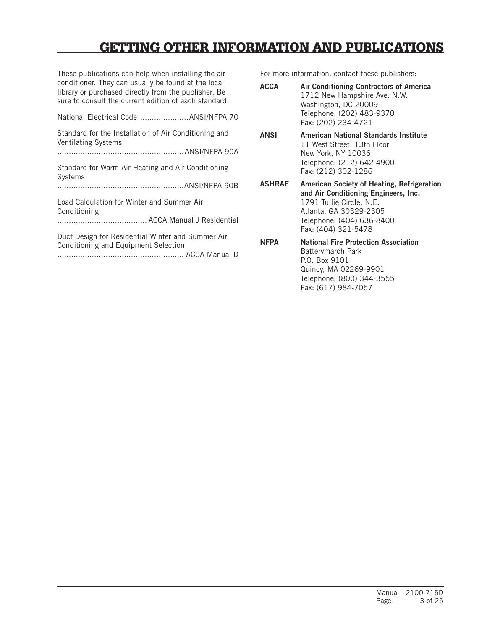# GETTING OTHER INFORMATION AND PUBLICATIONS

These publications can help when installing the air conditioner. They can usually be found at the local library or purchased directly from the publisher. Be sure to consult the current edition of each standard.

| National Electrical Code  ANSI/NFPA 70                                                    |  |
|-------------------------------------------------------------------------------------------|--|
| Standard for the Installation of Air Conditioning and<br><b>Ventilating Systems</b>       |  |
|                                                                                           |  |
| Standard for Warm Air Heating and Air Conditioning<br><b>Systems</b>                      |  |
|                                                                                           |  |
| Load Calculation for Winter and Summer Air<br>Conditioning                                |  |
|                                                                                           |  |
| Duct Design for Residential Winter and Summer Air<br>Conditioning and Equipment Selection |  |

....................................................... ACCA Manual D

For more information, contact these publishers:

| <b>ACCA</b> | Air Conditioning Contractors of America |
|-------------|-----------------------------------------|
|             | 1712 New Hampshire Ave. N.W.            |
|             | Washington, DC 20009                    |
|             | Telephone: (202) 483-9370               |
|             | Fax: (202) 234-4721                     |

#### ANSI American National Standards Institute 11 West Street, 13th Floor New York, NY 10036 Telephone: (212) 642-4900 Fax: (212) 302-1286

ASHRAE American Society of Heating, Refrigeration and Air Conditioning Engineers, Inc. 1791 Tullie Circle, N.E. Atlanta, GA 30329-2305 Telephone: (404) 636-8400 Fax: (404) 321-5478

NFPA National Fire Protection Association Batterymarch Park P.O. Box 9101 Quincy, MA 02269-9901 Telephone: (800) 344-3555 Fax: (617) 984-7057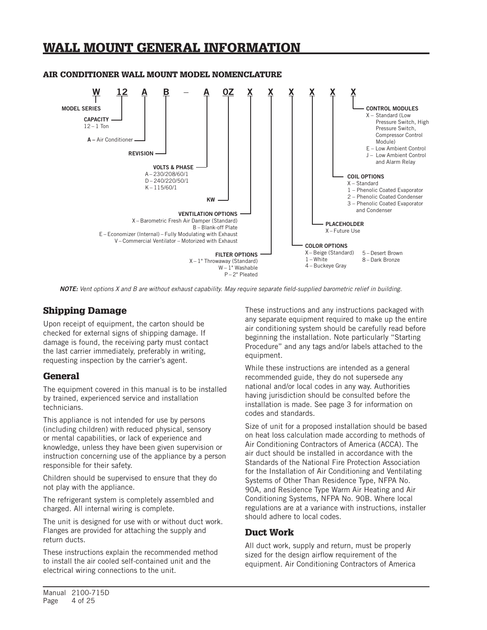# WALL MOUNT GENERAL INFORMATION



#### AIR CONDITIONER WALL MOUNT MODEL NOMENCLATURE

*NOTE: Vent options X and B are without exhaust capability. May require separate field-supplied barometric relief in building.*

### Shipping Damage

Upon receipt of equipment, the carton should be checked for external signs of shipping damage. If damage is found, the receiving party must contact the last carrier immediately, preferably in writing, requesting inspection by the carrier's agent.

#### **General**

The equipment covered in this manual is to be installed by trained, experienced service and installation technicians.

This appliance is not intended for use by persons (including children) with reduced physical, sensory or mental capabilities, or lack of experience and knowledge, unless they have been given supervision or instruction concerning use of the appliance by a person responsible for their safety.

Children should be supervised to ensure that they do not play with the appliance.

The refrigerant system is completely assembled and charged. All internal wiring is complete.

The unit is designed for use with or without duct work. Flanges are provided for attaching the supply and return ducts.

These instructions explain the recommended method to install the air cooled self-contained unit and the electrical wiring connections to the unit.

These instructions and any instructions packaged with any separate equipment required to make up the entire air conditioning system should be carefully read before beginning the installation. Note particularly "Starting Procedure" and any tags and/or labels attached to the equipment.

While these instructions are intended as a general recommended guide, they do not supersede any national and/or local codes in any way. Authorities having jurisdiction should be consulted before the installation is made. See page 3 for information on codes and standards.

Size of unit for a proposed installation should be based on heat loss calculation made according to methods of Air Conditioning Contractors of America (ACCA). The air duct should be installed in accordance with the Standards of the National Fire Protection Association for the Installation of Air Conditioning and Ventilating Systems of Other Than Residence Type, NFPA No. 90A, and Residence Type Warm Air Heating and Air Conditioning Systems, NFPA No. 90B. Where local regulations are at a variance with instructions, installer should adhere to local codes.

#### Duct Work

All duct work, supply and return, must be properly sized for the design airflow requirement of the equipment. Air Conditioning Contractors of America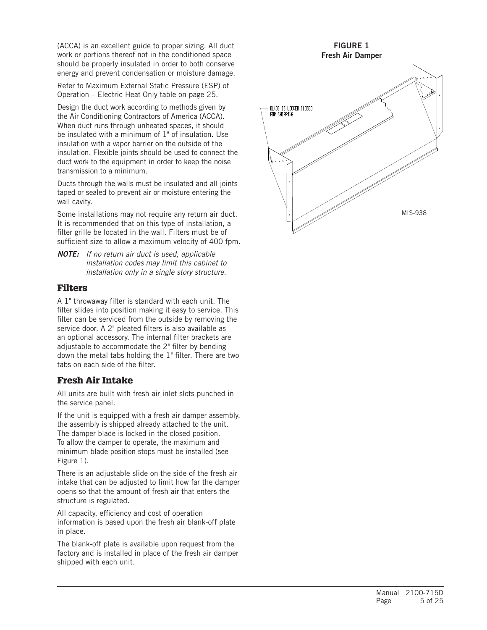(ACCA) is an excellent guide to proper sizing. All duct work or portions thereof not in the conditioned space should be properly insulated in order to both conserve energy and prevent condensation or moisture damage.

Refer to Maximum External Static Pressure (ESP) of Operation – Electric Heat Only table on page 25.

Design the duct work according to methods given by the Air Conditioning Contractors of America (ACCA). When duct runs through unheated spaces, it should be insulated with a minimum of 1" of insulation. Use insulation with a vapor barrier on the outside of the insulation. Flexible joints should be used to connect the duct work to the equipment in order to keep the noise transmission to a minimum.

Ducts through the walls must be insulated and all joints taped or sealed to prevent air or moisture entering the wall cavity.

Some installations may not require any return air duct. It is recommended that on this type of installation, a filter grille be located in the wall. Filters must be of sufficient size to allow a maximum velocity of 400 fpm.

*NOTE: If no return air duct is used, applicable installation codes may limit this cabinet to installation only in a single story structure.*

#### Filters

A 1" throwaway filter is standard with each unit. The filter slides into position making it easy to service. This filter can be serviced from the outside by removing the service door. A 2" pleated filters is also available as an optional accessory. The internal filter brackets are adjustable to accommodate the 2" filter by bending down the metal tabs holding the 1" filter. There are two tabs on each side of the filter.

## Fresh Air Intake

All units are built with fresh air inlet slots punched in the service panel.

If the unit is equipped with a fresh air damper assembly, the assembly is shipped already attached to the unit. The damper blade is locked in the closed position. To allow the damper to operate, the maximum and minimum blade position stops must be installed (see Figure 1).

There is an adjustable slide on the side of the fresh air intake that can be adjusted to limit how far the damper opens so that the amount of fresh air that enters the structure is regulated.

All capacity, efficiency and cost of operation information is based upon the fresh air blank-off plate in place.

The blank-off plate is available upon request from the factory and is installed in place of the fresh air damper shipped with each unit.

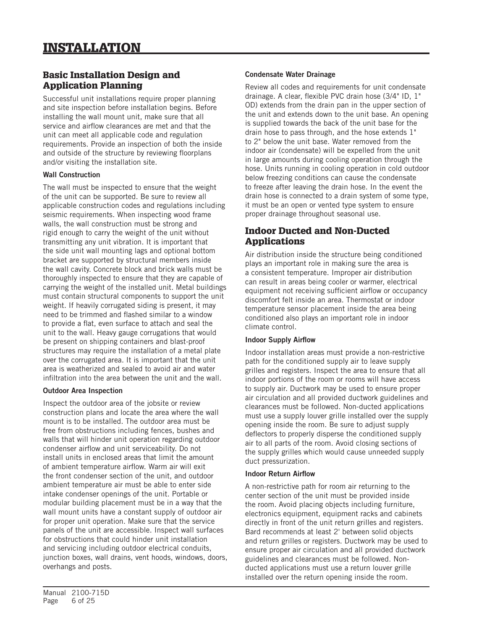# Basic Installation Design and Application Planning

Successful unit installations require proper planning and site inspection before installation begins. Before installing the wall mount unit, make sure that all service and airflow clearances are met and that the unit can meet all applicable code and regulation requirements. Provide an inspection of both the inside and outside of the structure by reviewing floorplans and/or visiting the installation site.

#### Wall Construction

The wall must be inspected to ensure that the weight of the unit can be supported. Be sure to review all applicable construction codes and regulations including seismic requirements. When inspecting wood frame walls, the wall construction must be strong and rigid enough to carry the weight of the unit without transmitting any unit vibration. It is important that the side unit wall mounting lags and optional bottom bracket are supported by structural members inside the wall cavity. Concrete block and brick walls must be thoroughly inspected to ensure that they are capable of carrying the weight of the installed unit. Metal buildings must contain structural components to support the unit weight. If heavily corrugated siding is present, it may need to be trimmed and flashed similar to a window to provide a flat, even surface to attach and seal the unit to the wall. Heavy gauge corrugations that would be present on shipping containers and blast-proof structures may require the installation of a metal plate over the corrugated area. It is important that the unit area is weatherized and sealed to avoid air and water infiltration into the area between the unit and the wall.

#### Outdoor Area Inspection

Inspect the outdoor area of the jobsite or review construction plans and locate the area where the wall mount is to be installed. The outdoor area must be free from obstructions including fences, bushes and walls that will hinder unit operation regarding outdoor condenser airflow and unit serviceability. Do not install units in enclosed areas that limit the amount of ambient temperature airflow. Warm air will exit the front condenser section of the unit, and outdoor ambient temperature air must be able to enter side intake condenser openings of the unit. Portable or modular building placement must be in a way that the wall mount units have a constant supply of outdoor air for proper unit operation. Make sure that the service panels of the unit are accessible. Inspect wall surfaces for obstructions that could hinder unit installation and servicing including outdoor electrical conduits, junction boxes, wall drains, vent hoods, windows, doors, overhangs and posts.

#### Condensate Water Drainage

Review all codes and requirements for unit condensate drainage. A clear, flexible PVC drain hose (3/4" ID, 1" OD) extends from the drain pan in the upper section of the unit and extends down to the unit base. An opening is supplied towards the back of the unit base for the drain hose to pass through, and the hose extends 1" to 2" below the unit base. Water removed from the indoor air (condensate) will be expelled from the unit in large amounts during cooling operation through the hose. Units running in cooling operation in cold outdoor below freezing conditions can cause the condensate to freeze after leaving the drain hose. In the event the drain hose is connected to a drain system of some type, it must be an open or vented type system to ensure proper drainage throughout seasonal use.

# Indoor Ducted and Non-Ducted Applications

Air distribution inside the structure being conditioned plays an important role in making sure the area is a consistent temperature. Improper air distribution can result in areas being cooler or warmer, electrical equipment not receiving sufficient airflow or occupancy discomfort felt inside an area. Thermostat or indoor temperature sensor placement inside the area being conditioned also plays an important role in indoor climate control.

#### Indoor Supply Airflow

Indoor installation areas must provide a non-restrictive path for the conditioned supply air to leave supply grilles and registers. Inspect the area to ensure that all indoor portions of the room or rooms will have access to supply air. Ductwork may be used to ensure proper air circulation and all provided ductwork guidelines and clearances must be followed. Non-ducted applications must use a supply louver grille installed over the supply opening inside the room. Be sure to adjust supply deflectors to properly disperse the conditioned supply air to all parts of the room. Avoid closing sections of the supply grilles which would cause unneeded supply duct pressurization.

#### Indoor Return Airflow

A non-restrictive path for room air returning to the center section of the unit must be provided inside the room. Avoid placing objects including furniture, electronics equipment, equipment racks and cabinets directly in front of the unit return grilles and registers. Bard recommends at least 2' between solid objects and return grilles or registers. Ductwork may be used to ensure proper air circulation and all provided ductwork guidelines and clearances must be followed. Nonducted applications must use a return louver grille installed over the return opening inside the room.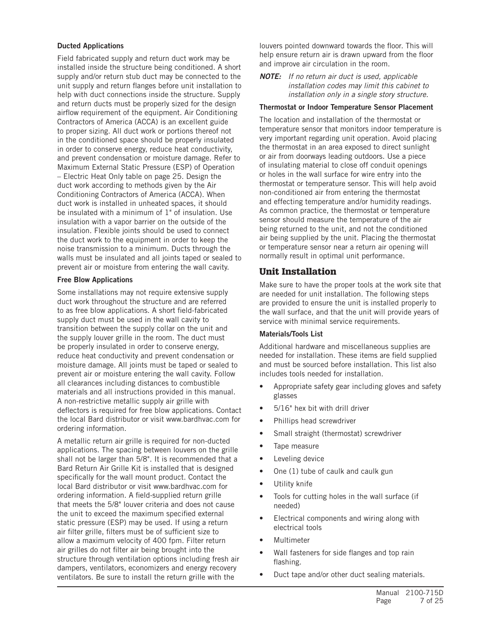#### Ducted Applications

Field fabricated supply and return duct work may be installed inside the structure being conditioned. A short supply and/or return stub duct may be connected to the unit supply and return flanges before unit installation to help with duct connections inside the structure. Supply and return ducts must be properly sized for the design airflow requirement of the equipment. Air Conditioning Contractors of America (ACCA) is an excellent guide to proper sizing. All duct work or portions thereof not in the conditioned space should be properly insulated in order to conserve energy, reduce heat conductivity, and prevent condensation or moisture damage. Refer to Maximum External Static Pressure (ESP) of Operation – Electric Heat Only table on page 25. Design the duct work according to methods given by the Air Conditioning Contractors of America (ACCA). When duct work is installed in unheated spaces, it should be insulated with a minimum of 1" of insulation. Use insulation with a vapor barrier on the outside of the insulation. Flexible joints should be used to connect the duct work to the equipment in order to keep the noise transmission to a minimum. Ducts through the walls must be insulated and all joints taped or sealed to prevent air or moisture from entering the wall cavity.

#### Free Blow Applications

Some installations may not require extensive supply duct work throughout the structure and are referred to as free blow applications. A short field-fabricated supply duct must be used in the wall cavity to transition between the supply collar on the unit and the supply louver grille in the room. The duct must be properly insulated in order to conserve energy, reduce heat conductivity and prevent condensation or moisture damage. All joints must be taped or sealed to prevent air or moisture entering the wall cavity. Follow all clearances including distances to combustible materials and all instructions provided in this manual. A non-restrictive metallic supply air grille with deflectors is required for free blow applications. Contact the local Bard distributor or visit www.bardhvac.com for ordering information.

A metallic return air grille is required for non-ducted applications. The spacing between louvers on the grille shall not be larger than 5/8". It is recommended that a Bard Return Air Grille Kit is installed that is designed specifically for the wall mount product. Contact the local Bard distributor or visit www.bardhvac.com for ordering information. A field-supplied return grille that meets the 5/8" louver criteria and does not cause the unit to exceed the maximum specified external static pressure (ESP) may be used. If using a return air filter grille, filters must be of sufficient size to allow a maximum velocity of 400 fpm. Filter return air grilles do not filter air being brought into the structure through ventilation options including fresh air dampers, ventilators, economizers and energy recovery ventilators. Be sure to install the return grille with the

louvers pointed downward towards the floor. This will help ensure return air is drawn upward from the floor and improve air circulation in the room.

*NOTE: If no return air duct is used, applicable installation codes may limit this cabinet to installation only in a single story structure.*

#### Thermostat or Indoor Temperature Sensor Placement

The location and installation of the thermostat or temperature sensor that monitors indoor temperature is very important regarding unit operation. Avoid placing the thermostat in an area exposed to direct sunlight or air from doorways leading outdoors. Use a piece of insulating material to close off conduit openings or holes in the wall surface for wire entry into the thermostat or temperature sensor. This will help avoid non-conditioned air from entering the thermostat and effecting temperature and/or humidity readings. As common practice, the thermostat or temperature sensor should measure the temperature of the air being returned to the unit, and not the conditioned air being supplied by the unit. Placing the thermostat or temperature sensor near a return air opening will normally result in optimal unit performance.

#### Unit Installation

Make sure to have the proper tools at the work site that are needed for unit installation. The following steps are provided to ensure the unit is installed properly to the wall surface, and that the unit will provide years of service with minimal service requirements.

#### Materials/Tools List

Additional hardware and miscellaneous supplies are needed for installation. These items are field supplied and must be sourced before installation. This list also includes tools needed for installation.

- Appropriate safety gear including gloves and safety glasses
- 5/16" hex bit with drill driver
- Phillips head screwdriver
- Small straight (thermostat) screwdriver
- Tape measure
- Leveling device
- One (1) tube of caulk and caulk gun
- Utility knife
- Tools for cutting holes in the wall surface (if needed)
- Electrical components and wiring along with electrical tools
- **Multimeter**
- Wall fasteners for side flanges and top rain flashing.
- Duct tape and/or other duct sealing materials.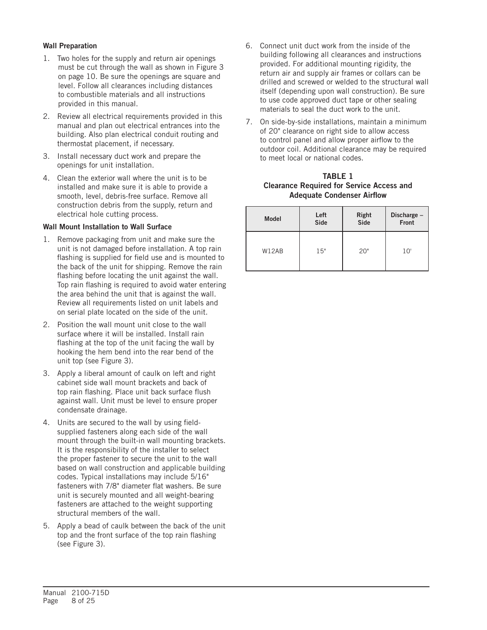#### Wall Preparation

- 1. Two holes for the supply and return air openings must be cut through the wall as shown in Figure 3 on page 10. Be sure the openings are square and level. Follow all clearances including distances to combustible materials and all instructions provided in this manual.
- 2. Review all electrical requirements provided in this manual and plan out electrical entrances into the building. Also plan electrical conduit routing and thermostat placement, if necessary.
- 3. Install necessary duct work and prepare the openings for unit installation.
- 4. Clean the exterior wall where the unit is to be installed and make sure it is able to provide a smooth, level, debris-free surface. Remove all construction debris from the supply, return and electrical hole cutting process.

#### Wall Mount Installation to Wall Surface

- 1. Remove packaging from unit and make sure the unit is not damaged before installation. A top rain flashing is supplied for field use and is mounted to the back of the unit for shipping. Remove the rain flashing before locating the unit against the wall. Top rain flashing is required to avoid water entering the area behind the unit that is against the wall. Review all requirements listed on unit labels and on serial plate located on the side of the unit.
- 2. Position the wall mount unit close to the wall surface where it will be installed. Install rain flashing at the top of the unit facing the wall by hooking the hem bend into the rear bend of the unit top (see Figure 3).
- 3. Apply a liberal amount of caulk on left and right cabinet side wall mount brackets and back of top rain flashing. Place unit back surface flush against wall. Unit must be level to ensure proper condensate drainage.
- 4. Units are secured to the wall by using fieldsupplied fasteners along each side of the wall mount through the built-in wall mounting brackets. It is the responsibility of the installer to select the proper fastener to secure the unit to the wall based on wall construction and applicable building codes. Typical installations may include 5/16" fasteners with 7/8" diameter flat washers. Be sure unit is securely mounted and all weight-bearing fasteners are attached to the weight supporting structural members of the wall.
- 5. Apply a bead of caulk between the back of the unit top and the front surface of the top rain flashing (see Figure 3).
- 6. Connect unit duct work from the inside of the building following all clearances and instructions provided. For additional mounting rigidity, the return air and supply air frames or collars can be drilled and screwed or welded to the structural wall itself (depending upon wall construction). Be sure to use code approved duct tape or other sealing materials to seal the duct work to the unit.
- 7. On side-by-side installations, maintain a minimum of 20" clearance on right side to allow access to control panel and allow proper airflow to the outdoor coil. Additional clearance may be required to meet local or national codes.

#### TABLE 1 Clearance Required for Service Access and Adequate Condenser Airflow

| <b>Model</b> | Left        | Right | Discharge - |
|--------------|-------------|-------|-------------|
|              | <b>Side</b> | Side  | Front       |
| W12AB        | 15"         | 20"   | 10'         |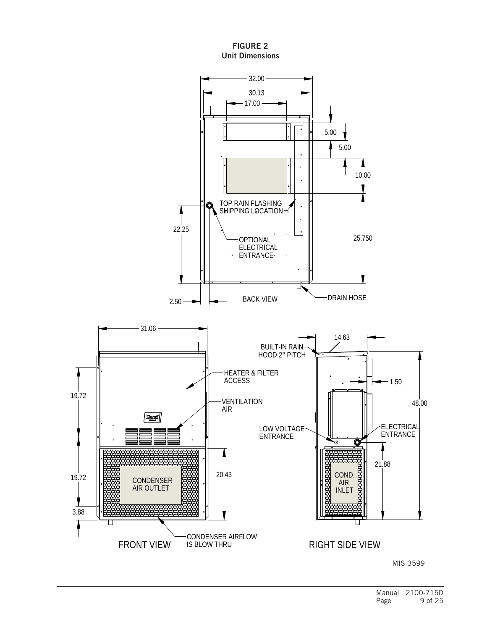#### FIGURE 2 Unit Dimensions

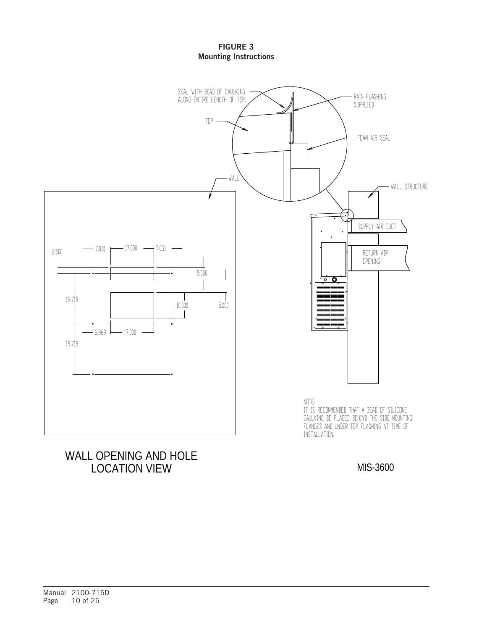#### FIGURE 3 Mounting Instructions



# WALL OPENING AND HOLE LOCATION VIEW

MIS-3600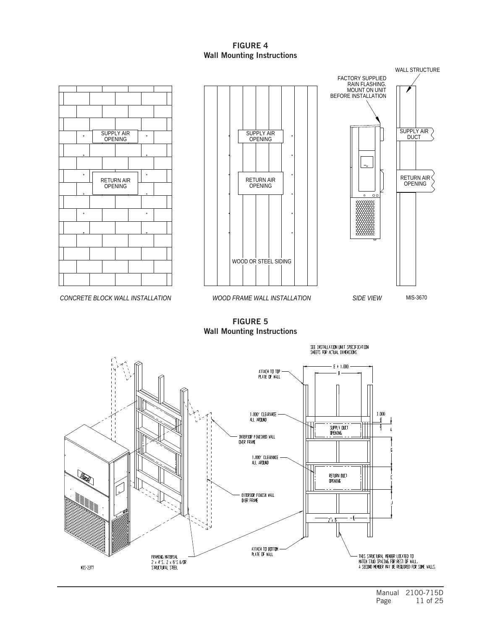#### FIGURE 4 Wall Mounting Instructions

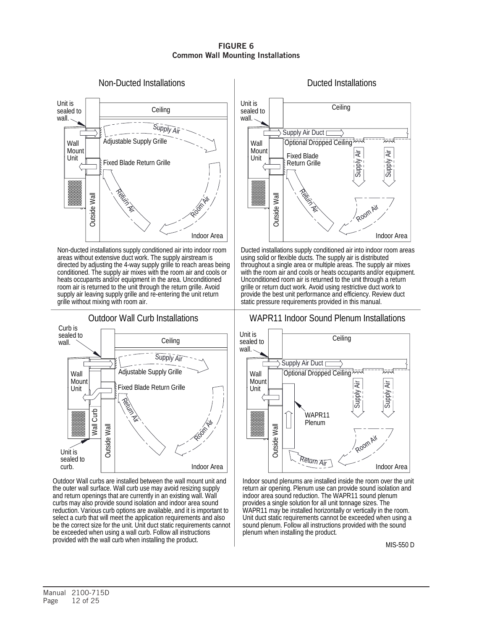#### FIGURE 6 Common Wall Mounting Installations



conditioned. The supply air mixes with the room air and cools or supply air leaving supply grille and re-entering the unit return room air is returned to the unit through the return grille. Avoid heats occupants and/or equipment in the area. Unconditioned Non-ducted installations supply conditioned air into indoor room directed by adjusting the 4-way supply grille to reach areas being areas without extensive duct work. The supply airstream is grille without mixing with room air.



the outer wall surface. Wall curb use may avoid resizing supply select a curb that will meet the application requirements and also provided with the wall curb when installing the product. be exceeded when using a wall curb. Follow all instructions be the correct size for the unit. Unit duct static requirements cannot reduction. Various curb options are available, and it is important to curbs may also provide sound isolation and indoor area sound and return openings that are currently in an existing wall. Wall



throughout a single area or multiple areas. The supply air mixes with the room air and cools or heats occupants and/or equipment. Unconditioned room air is returned to the unit through a return static pressure requirements provided in this manual. provide the best unit performance and efficiency. Review duct grille or return duct work. Avoid using restrictive duct work to Ducted installations supply conditioned air into indoor room areas using solid or flexible ducts. The supply air is distributed

# WAPR11 Indoor Sound Plenum Installations



plenum when installing the product. Outdoor Wall curbs are installed between the wall mount unit and | Indoor sound plenums are installed inside the room over the unit return air opening. Plenum use can provide sound isolation and indoor area sound reduction. The WAPR11 sound plenum provides a single solution for all unit tonnage sizes. The WAPR11 may be installed horizontally or vertically in the room. Unit duct static requirements cannot be exceeded when using a sound plenum. Follow all instructions provided with the sound

MIS-550 D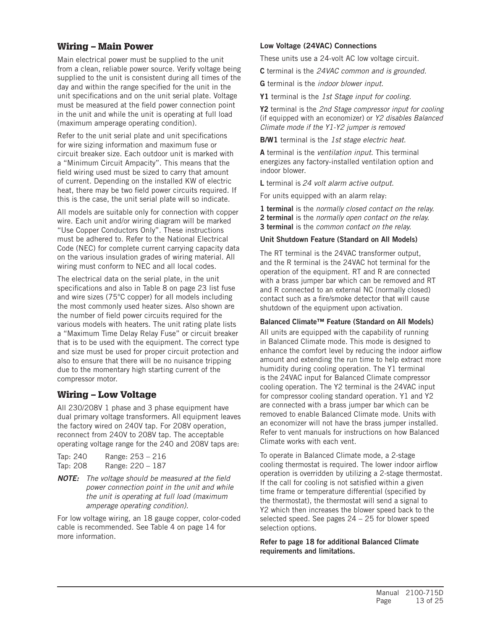## Wiring – Main Power

Main electrical power must be supplied to the unit from a clean, reliable power source. Verify voltage being supplied to the unit is consistent during all times of the day and within the range specified for the unit in the unit specifications and on the unit serial plate. Voltage must be measured at the field power connection point in the unit and while the unit is operating at full load (maximum amperage operating condition).

Refer to the unit serial plate and unit specifications for wire sizing information and maximum fuse or circuit breaker size. Each outdoor unit is marked with a "Minimum Circuit Ampacity". This means that the field wiring used must be sized to carry that amount of current. Depending on the installed KW of electric heat, there may be two field power circuits required. If this is the case, the unit serial plate will so indicate.

All models are suitable only for connection with copper wire. Each unit and/or wiring diagram will be marked "Use Copper Conductors Only". These instructions must be adhered to. Refer to the National Electrical Code (NEC) for complete current carrying capacity data on the various insulation grades of wiring material. All wiring must conform to NEC and all local codes.

The electrical data on the serial plate, in the unit specifications and also in Table 8 on page 23 list fuse and wire sizes (75°C copper) for all models including the most commonly used heater sizes. Also shown are the number of field power circuits required for the various models with heaters. The unit rating plate lists a "Maximum Time Delay Relay Fuse" or circuit breaker that is to be used with the equipment. The correct type and size must be used for proper circuit protection and also to ensure that there will be no nuisance tripping due to the momentary high starting current of the compressor motor.

## Wiring – Low Voltage

All 230/208V 1 phase and 3 phase equipment have dual primary voltage transformers. All equipment leaves the factory wired on 240V tap. For 208V operation, reconnect from 240V to 208V tap. The acceptable operating voltage range for the 240 and 208V taps are:

| Tap: 240 | Range: 253 - 216 |
|----------|------------------|
| Tap: 208 | Range: 220 - 187 |

*NOTE: The voltage should be measured at the field power connection point in the unit and while the unit is operating at full load (maximum amperage operating condition).*

For low voltage wiring, an 18 gauge copper, color-coded cable is recommended. See Table 4 on page 14 for more information.

#### Low Voltage (24VAC) Connections

These units use a 24-volt AC low voltage circuit.

C terminal is the *24VAC common and is grounded.*

G terminal is the *indoor blower input*.

Y1 terminal is the *1st Stage input for cooling.*

Y2 terminal is the *2nd Stage compressor input for cooling*  (if equipped with an economizer) or *Y2 disables Balanced Climate mode if the Y1-Y2 jumper is removed*

B/W1 terminal is the *1st stage electric heat*.

A terminal is the *ventilation input*. This terminal energizes any factory-installed ventilation option and indoor blower.

L terminal is *24 volt alarm active output*.

For units equipped with an alarm relay:

1 terminal is the *normally closed contact on the relay.* 2 terminal is the *normally open contact on the relay.*

3 terminal is the *common contact on the relay.*

#### Unit Shutdown Feature (Standard on All Models)

The RT terminal is the 24VAC transformer output, and the R terminal is the 24VAC hot terminal for the operation of the equipment. RT and R are connected with a brass jumper bar which can be removed and RT and R connected to an external NC (normally closed) contact such as a fire/smoke detector that will cause shutdown of the equipment upon activation.

#### Balanced Climate™ Feature (Standard on All Models)

All units are equipped with the capability of running in Balanced Climate mode. This mode is designed to enhance the comfort level by reducing the indoor airflow amount and extending the run time to help extract more humidity during cooling operation. The Y1 terminal is the 24VAC input for Balanced Climate compressor cooling operation. The Y2 terminal is the 24VAC input for compressor cooling standard operation. Y1 and Y2 are connected with a brass jumper bar which can be removed to enable Balanced Climate mode. Units with an economizer will not have the brass jumper installed. Refer to vent manuals for instructions on how Balanced Climate works with each vent.

To operate in Balanced Climate mode, a 2-stage cooling thermostat is required. The lower indoor airflow operation is overridden by utilizing a 2-stage thermostat. If the call for cooling is not satisfied within a given time frame or temperature differential (specified by the thermostat), the thermostat will send a signal to Y2 which then increases the blower speed back to the selected speed. See pages 24 – 25 for blower speed selection options.

Refer to page 18 for additional Balanced Climate requirements and limitations.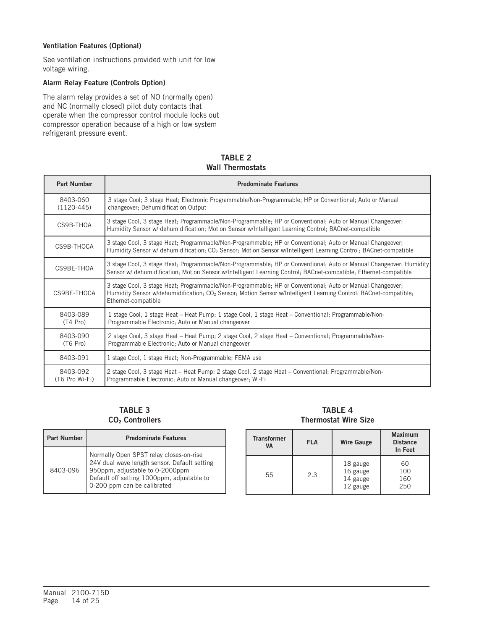#### Ventilation Features (Optional)

See ventilation instructions provided with unit for low voltage wiring.

#### Alarm Relay Feature (Controls Option)

The alarm relay provides a set of NO (normally open) and NC (normally closed) pilot duty contacts that operate when the compressor control module locks out compressor operation because of a high or low system refrigerant pressure event.

| <b>TABLE 2</b>          |
|-------------------------|
| <b>Wall Thermostats</b> |

| <b>Part Number</b>         | <b>Predominate Features</b>                                                                                                                                                                                                                                      |  |  |
|----------------------------|------------------------------------------------------------------------------------------------------------------------------------------------------------------------------------------------------------------------------------------------------------------|--|--|
| 8403-060<br>$(1120-445)$   | 3 stage Cool; 3 stage Heat; Electronic Programmable/Non-Programmable; HP or Conventional; Auto or Manual<br>changeover; Dehumidification Output                                                                                                                  |  |  |
| CS9B-THOA                  | 3 stage Cool, 3 stage Heat; Programmable/Non-Programmable; HP or Conventional; Auto or Manual Changeover;<br>Humidity Sensor w/ dehumidification; Motion Sensor w/Intelligent Learning Control; BACnet-compatible                                                |  |  |
| CS9B-THOCA                 | 3 stage Cool, 3 stage Heat; Programmable/Non-Programmable; HP or Conventional; Auto or Manual Changeover;<br>Humidity Sensor w/ dehumidification; CO <sub>2</sub> Sensor; Motion Sensor w/Intelligent Learning Control; BACnet-compatible                        |  |  |
| CS9BE-THOA                 | 3 stage Cool, 3 stage Heat; Programmable/Non-Programmable; HP or Conventional; Auto or Manual Changeover; Humidity<br>Sensor w/ dehumidification; Motion Sensor w/Intelligent Learning Control; BACnet-compatible; Ethernet-compatible                           |  |  |
| CS9BE-THOCA                | 3 stage Cool, 3 stage Heat; Programmable/Non-Programmable; HP or Conventional; Auto or Manual Changeover;<br>Humidity Sensor w/dehumidification; CO <sub>2</sub> Sensor; Motion Sensor w/Intelligent Learning Control; BACnet-compatible;<br>Ethernet-compatible |  |  |
| 8403-089<br>$(T4$ Pro)     | 1 stage Cool, 1 stage Heat – Heat Pump; 1 stage Cool, 1 stage Heat – Conventional; Programmable/Non-<br>Programmable Electronic; Auto or Manual changeover                                                                                                       |  |  |
| 8403-090<br>$(T6$ Pro)     | 2 stage Cool, 3 stage Heat – Heat Pump; 2 stage Cool, 2 stage Heat – Conventional; Programmable/Non-<br>Programmable Electronic; Auto or Manual changeover                                                                                                       |  |  |
| 8403-091                   | 1 stage Cool, 1 stage Heat; Non-Programmable; FEMA use                                                                                                                                                                                                           |  |  |
| 8403-092<br>(T6 Pro Wi-Fi) | 2 stage Cool, 3 stage Heat – Heat Pump; 2 stage Cool, 2 stage Heat – Conventional; Programmable/Non-<br>Programmable Electronic; Auto or Manual changeover; Wi-Fi                                                                                                |  |  |

TABLE 3 CO<sub>2</sub> Controllers

| <b>Part Number</b> | <b>Predominate Features</b>                                                                                                                                                                             |  |  |
|--------------------|---------------------------------------------------------------------------------------------------------------------------------------------------------------------------------------------------------|--|--|
| 8403-096           | Normally Open SPST relay closes-on-rise<br>24V dual wave length sensor. Default setting<br>950ppm, adjustable to 0-2000ppm<br>Default off setting 1000ppm, adjustable to<br>0-200 ppm can be calibrated |  |  |

TABLE 4 Thermostat Wire Size

| <b>Transformer</b><br><b>VA</b> | <b>FLA</b> | <b>Wire Gauge</b>                            | <b>Maximum</b><br><b>Distance</b><br>In Feet |
|---------------------------------|------------|----------------------------------------------|----------------------------------------------|
| 55                              | 2.3        | 18 gauge<br>16 gauge<br>14 gauge<br>12 gauge | 60<br>100<br>160<br>250                      |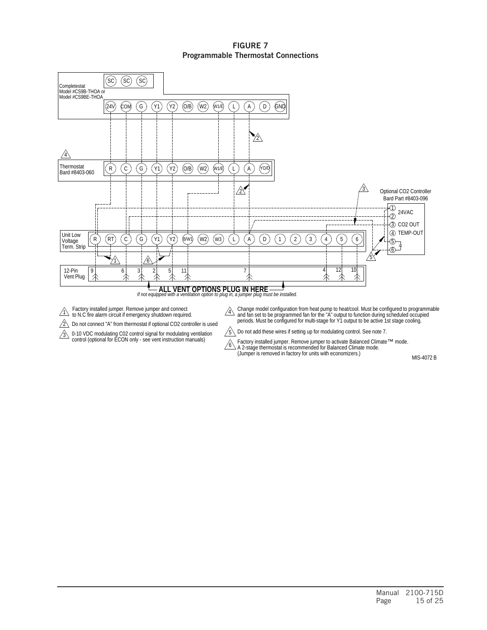#### FIGURE 7 Programmable Thermostat Connections



 $\sqrt{6}$ 

 $\hat{I}$  Factory installed jumper. Remove jumper and connect<br>1 to N.C fire alarm circuit if emergency shutdown required.

 $2\sqrt{ }$  Do not connect "A" from thermostat if optional CO2 controller is used

3 0-10 VDC modulating C02 control signal for modulating ventilation<br>control (optional for ECON only - see vent instruction manuals)

4 Change model configuration from heat pump to heat/cool. Must be configured to programmable<br>and fan set to be programmed fan for the "A" output to function during scheduled occupied<br>periods. Must be configured for multi-sta

5 Do not add these wires if setting up for modulating control. See note 7.

(Jumper is removed in factory for units with economizers.) Factory installed jumper. Remove jumper to activate Balanced Climate™ mode.<br>A 2-stage thermostat is recommended for Balanced Climate mode.

MIS-4072 B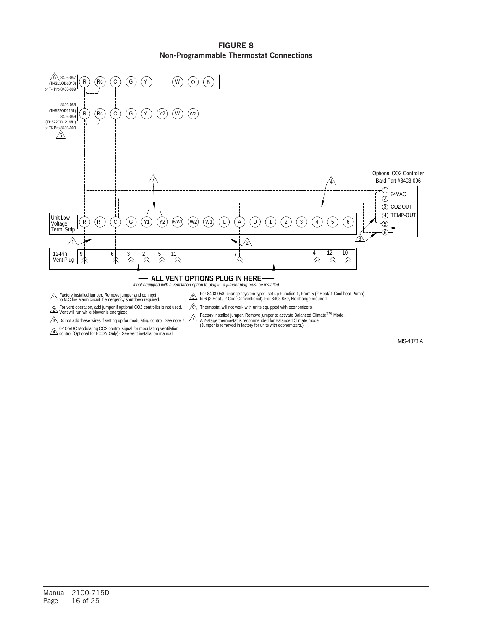#### FIGURE 8 Non-Programmable Thermostat Connections



MIS-4073 A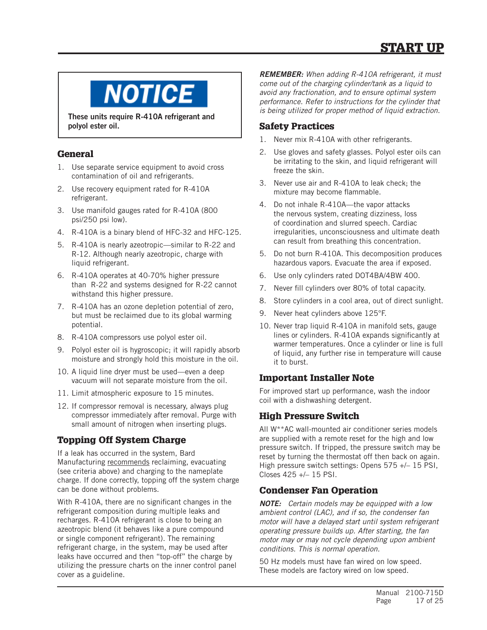

These units require R-410A refrigerant and polyol ester oil.

# **General**

- 1. Use separate service equipment to avoid cross contamination of oil and refrigerants.
- 2. Use recovery equipment rated for R-410A refrigerant.
- 3. Use manifold gauges rated for R-410A (800 psi/250 psi low).
- 4. R-410A is a binary blend of HFC-32 and HFC-125.
- 5. R-410A is nearly azeotropic—similar to R-22 and R-12. Although nearly azeotropic, charge with liquid refrigerant.
- 6. R-410A operates at 40-70% higher pressure than R-22 and systems designed for R-22 cannot withstand this higher pressure.
- 7. R-410A has an ozone depletion potential of zero, but must be reclaimed due to its global warming potential.
- 8. R-410A compressors use polyol ester oil.
- 9. Polyol ester oil is hygroscopic; it will rapidly absorb moisture and strongly hold this moisture in the oil.
- 10. A liquid line dryer must be used—even a deep vacuum will not separate moisture from the oil.
- 11. Limit atmospheric exposure to 15 minutes.
- 12. If compressor removal is necessary, always plug compressor immediately after removal. Purge with small amount of nitrogen when inserting plugs.

# Topping Off System Charge

If a leak has occurred in the system, Bard Manufacturing recommends reclaiming, evacuating (see criteria above) and charging to the nameplate charge. If done correctly, topping off the system charge can be done without problems.

With R-410A, there are no significant changes in the refrigerant composition during multiple leaks and recharges. R-410A refrigerant is close to being an azeotropic blend (it behaves like a pure compound or single component refrigerant). The remaining refrigerant charge, in the system, may be used after leaks have occurred and then "top-off" the charge by utilizing the pressure charts on the inner control panel cover as a guideline.

*REMEMBER: When adding R-410A refrigerant, it must come out of the charging cylinder/tank as a liquid to avoid any fractionation, and to ensure optimal system performance. Refer to instructions for the cylinder that is being utilized for proper method of liquid extraction.*

# Safety Practices

- 1. Never mix R-410A with other refrigerants.
- 2. Use gloves and safety glasses. Polyol ester oils can be irritating to the skin, and liquid refrigerant will freeze the skin.
- 3. Never use air and R-410A to leak check; the mixture may become flammable.
- 4. Do not inhale R-410A—the vapor attacks the nervous system, creating dizziness, loss of coordination and slurred speech. Cardiac irregularities, unconsciousness and ultimate death can result from breathing this concentration.
- 5. Do not burn R-410A. This decomposition produces hazardous vapors. Evacuate the area if exposed.
- 6. Use only cylinders rated DOT4BA/4BW 400.
- 7. Never fill cylinders over 80% of total capacity.
- 8. Store cylinders in a cool area, out of direct sunlight.
- 9. Never heat cylinders above 125°F.
- 10. Never trap liquid R-410A in manifold sets, gauge lines or cylinders. R-410A expands significantly at warmer temperatures. Once a cylinder or line is full of liquid, any further rise in temperature will cause it to burst.

# Important Installer Note

For improved start up performance, wash the indoor coil with a dishwashing detergent.

# High Pressure Switch

All W\*\*AC wall-mounted air conditioner series models are supplied with a remote reset for the high and low pressure switch. If tripped, the pressure switch may be reset by turning the thermostat off then back on again. High pressure switch settings: Opens 575 +/– 15 PSI, Closes 425 +/– 15 PSI.

# Condenser Fan Operation

*NOTE: Certain models may be equipped with a low ambient control (LAC), and if so, the condenser fan motor will have a delayed start until system refrigerant operating pressure builds up. After starting, the fan motor may or may not cycle depending upon ambient conditions. This is normal operation.*

50 Hz models must have fan wired on low speed. These models are factory wired on low speed.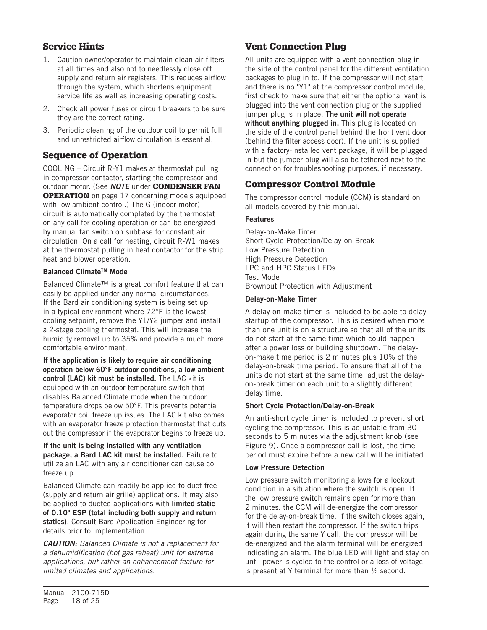# Service Hints

- 1. Caution owner/operator to maintain clean air filters at all times and also not to needlessly close off supply and return air registers. This reduces airflow through the system, which shortens equipment service life as well as increasing operating costs.
- 2. Check all power fuses or circuit breakers to be sure they are the correct rating.
- 3. Periodic cleaning of the outdoor coil to permit full and unrestricted airflow circulation is essential.

## Sequence of Operation

COOLING – Circuit R-Y1 makes at thermostat pulling in compressor contactor, starting the compressor and outdoor motor. (See *NOTE* under CONDENSER FAN **OPERATION** on page 17 concerning models equipped with low ambient control.) The G (indoor motor) circuit is automatically completed by the thermostat on any call for cooling operation or can be energized by manual fan switch on subbase for constant air circulation. On a call for heating, circuit R-W1 makes at the thermostat pulling in heat contactor for the strip heat and blower operation.

#### Balanced Climate<sup>™</sup> Mode

Balanced Climate™ is a great comfort feature that can easily be applied under any normal circumstances. If the Bard air conditioning system is being set up in a typical environment where 72°F is the lowest cooling setpoint, remove the Y1/Y2 jumper and install a 2-stage cooling thermostat. This will increase the humidity removal up to 35% and provide a much more comfortable environment.

If the application is likely to require air conditioning operation below 60°F outdoor conditions, a low ambient control (LAC) kit must be installed. The LAC kit is equipped with an outdoor temperature switch that disables Balanced Climate mode when the outdoor temperature drops below 50°F. This prevents potential evaporator coil freeze up issues. The LAC kit also comes with an evaporator freeze protection thermostat that cuts out the compressor if the evaporator begins to freeze up.

#### If the unit is being installed with any ventilation package, a Bard LAC kit must be installed. Failure to utilize an LAC with any air conditioner can cause coil freeze up.

Balanced Climate can readily be applied to duct-free (supply and return air grille) applications. It may also be applied to ducted applications with **limited static** of 0.10" ESP (total including both supply and return statics). Consult Bard Application Engineering for details prior to implementation.

*CAUTION: Balanced Climate is not a replacement for a dehumidification (hot gas reheat) unit for extreme applications, but rather an enhancement feature for limited climates and applications.*

# Vent Connection Plug

All units are equipped with a vent connection plug in the side of the control panel for the different ventilation packages to plug in to. If the compressor will not start and there is no "Y1" at the compressor control module, first check to make sure that either the optional vent is plugged into the vent connection plug or the supplied jumper plug is in place. The unit will not operate without anything plugged in. This plug is located on the side of the control panel behind the front vent door (behind the filter access door). If the unit is supplied with a factory-installed vent package, it will be plugged in but the jumper plug will also be tethered next to the connection for troubleshooting purposes, if necessary.

# Compressor Control Module

The compressor control module (CCM) is standard on all models covered by this manual.

#### Features

Delay-on-Make Timer Short Cycle Protection/Delay-on-Break Low Pressure Detection High Pressure Detection LPC and HPC Status LEDs Test Mode Brownout Protection with Adjustment

#### Delay-on-Make Timer

A delay-on-make timer is included to be able to delay startup of the compressor. This is desired when more than one unit is on a structure so that all of the units do not start at the same time which could happen after a power loss or building shutdown. The delayon-make time period is 2 minutes plus 10% of the delay-on-break time period. To ensure that all of the units do not start at the same time, adjust the delayon-break timer on each unit to a slightly different delay time.

#### Short Cycle Protection/Delay-on-Break

An anti-short cycle timer is included to prevent short cycling the compressor. This is adjustable from 30 seconds to 5 minutes via the adjustment knob (see Figure 9). Once a compressor call is lost, the time period must expire before a new call will be initiated.

#### Low Pressure Detection

Low pressure switch monitoring allows for a lockout condition in a situation where the switch is open. If the low pressure switch remains open for more than 2 minutes. the CCM will de-energize the compressor for the delay-on-break time. If the switch closes again, it will then restart the compressor. If the switch trips again during the same Y call, the compressor will be de-energized and the alarm terminal will be energized indicating an alarm. The blue LED will light and stay on until power is cycled to the control or a loss of voltage is present at Y terminal for more than  $\frac{1}{2}$  second.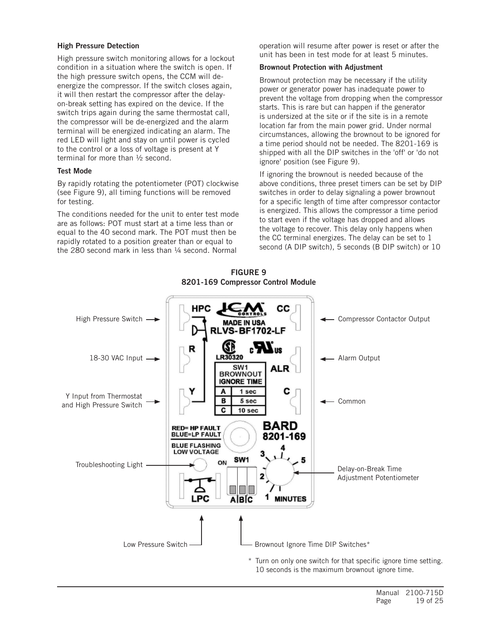#### High Pressure Detection

High pressure switch monitoring allows for a lockout condition in a situation where the switch is open. If the high pressure switch opens, the CCM will deenergize the compressor. If the switch closes again, it will then restart the compressor after the delayon-break setting has expired on the device. If the switch trips again during the same thermostat call, the compressor will be de-energized and the alarm terminal will be energized indicating an alarm. The red LED will light and stay on until power is cycled to the control or a loss of voltage is present at Y terminal for more than ½ second.

#### Test Mode

By rapidly rotating the potentiometer (POT) clockwise (see Figure 9), all timing functions will be removed for testing.

The conditions needed for the unit to enter test mode are as follows: POT must start at a time less than or equal to the 40 second mark. The POT must then be rapidly rotated to a position greater than or equal to the 280 second mark in less than 1/4 second. Normal

operation will resume after power is reset or after the unit has been in test mode for at least 5 minutes.

#### Brownout Protection with Adjustment

Brownout protection may be necessary if the utility power or generator power has inadequate power to prevent the voltage from dropping when the compressor starts. This is rare but can happen if the generator is undersized at the site or if the site is in a remote location far from the main power grid. Under normal circumstances, allowing the brownout to be ignored for a time period should not be needed. The 8201-169 is shipped with all the DIP switches in the 'off' or 'do not ignore' position (see Figure 9).

If ignoring the brownout is needed because of the above conditions, three preset timers can be set by DIP switches in order to delay signaling a power brownout for a specific length of time after compressor contactor is energized. This allows the compressor a time period to start even if the voltage has dropped and allows the voltage to recover. This delay only happens when the CC terminal energizes. The delay can be set to 1 second (A DIP switch), 5 seconds (B DIP switch) or 10



FIGURE 9 8201-169 Compressor Control Module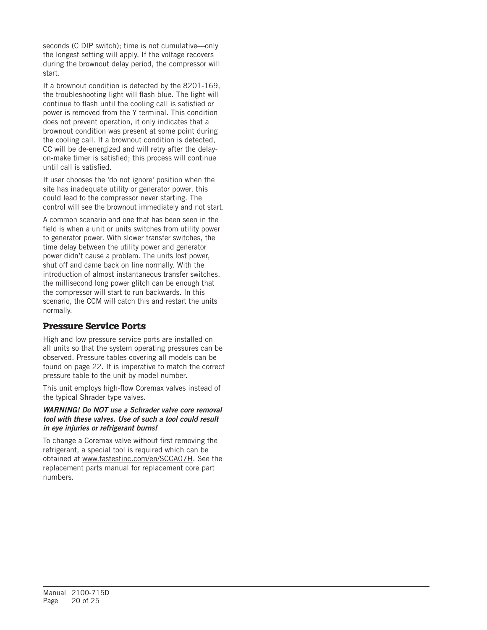seconds (C DIP switch); time is not cumulative—only the longest setting will apply. If the voltage recovers during the brownout delay period, the compressor will start.

If a brownout condition is detected by the 8201-169, the troubleshooting light will flash blue. The light will continue to flash until the cooling call is satisfied or power is removed from the Y terminal. This condition does not prevent operation, it only indicates that a brownout condition was present at some point during the cooling call. If a brownout condition is detected, CC will be de-energized and will retry after the delayon-make timer is satisfied; this process will continue until call is satisfied.

If user chooses the 'do not ignore' position when the site has inadequate utility or generator power, this could lead to the compressor never starting. The control will see the brownout immediately and not start.

A common scenario and one that has been seen in the field is when a unit or units switches from utility power to generator power. With slower transfer switches, the time delay between the utility power and generator power didn't cause a problem. The units lost power, shut off and came back on line normally. With the introduction of almost instantaneous transfer switches, the millisecond long power glitch can be enough that the compressor will start to run backwards. In this scenario, the CCM will catch this and restart the units normally.

## Pressure Service Ports

High and low pressure service ports are installed on all units so that the system operating pressures can be observed. Pressure tables covering all models can be found on page 22. It is imperative to match the correct pressure table to the unit by model number.

This unit employs high-flow Coremax valves instead of the typical Shrader type valves.

#### *WARNING! Do NOT use a Schrader valve core removal tool with these valves. Use of such a tool could result in eye injuries or refrigerant burns!*

To change a Coremax valve without first removing the refrigerant, a special tool is required which can be obtained at www.fastestinc.com/en/SCCA07H. See the replacement parts manual for replacement core part numbers.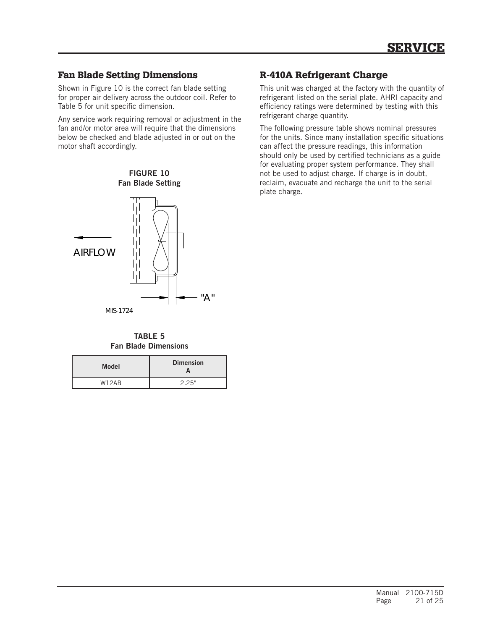## Fan Blade Setting Dimensions

Shown in Figure 10 is the correct fan blade setting for proper air delivery across the outdoor coil. Refer to Table 5 for unit specific dimension.

Any service work requiring removal or adjustment in the fan and/or motor area will require that the dimensions below be checked and blade adjusted in or out on the motor shaft accordingly.

# FIGURE 10 Fan Blade Setting



TABLE 5 Fan Blade Dimensions

| <b>Model</b>       | <b>Dimension</b> |  |  |  |  |  |
|--------------------|------------------|--|--|--|--|--|
| W <sub>12</sub> AR | 2.25"            |  |  |  |  |  |

# R-410A Refrigerant Charge

This unit was charged at the factory with the quantity of refrigerant listed on the serial plate. AHRI capacity and efficiency ratings were determined by testing with this refrigerant charge quantity.

The following pressure table shows nominal pressures for the units. Since many installation specific situations can affect the pressure readings, this information should only be used by certified technicians as a guide for evaluating proper system performance. They shall not be used to adjust charge. If charge is in doubt, reclaim, evacuate and recharge the unit to the serial plate charge.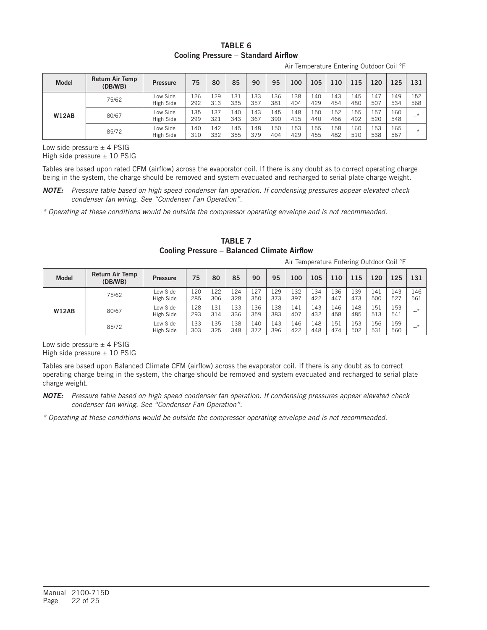#### TARI F 6 Cooling Pressure – Standard Airflow

| Air Temperature Entering Outdoor Coil °F |  |  |
|------------------------------------------|--|--|
|                                          |  |  |

| <b>Model</b> | Return Air Temp<br>(DB/WB) | <b>Pressure</b>       | 75         | 80         | 85         | 90         | 95         | 100        | 105        | 110        | 115                    | 120        | 125        | 131        |
|--------------|----------------------------|-----------------------|------------|------------|------------|------------|------------|------------|------------|------------|------------------------|------------|------------|------------|
| <b>W12AB</b> | 75/62                      | Low Side<br>High Side | 126<br>292 | 129<br>313 | 131<br>335 | 133<br>357 | 136<br>381 | 138<br>404 | 140<br>429 | 143<br>454 | 145<br>48 <sub>C</sub> | 147<br>507 | 149<br>534 | 152<br>568 |
|              | 80/67                      | Low Side<br>High Side | 135<br>299 | 137<br>321 | 140<br>343 | 143<br>367 | 145<br>390 | 148<br>415 | 150<br>440 | 152<br>466 | 155<br>492             | 157<br>520 | 160<br>548 | $-$        |
|              | 85/72                      | Low Side<br>High Side | 140<br>310 | 142<br>332 | 145<br>355 | 148<br>379 | 150<br>404 | 153<br>429 | 155<br>455 | 158<br>482 | 160<br>510             | 153<br>538 | 165<br>567 | $-$        |

Low side pressure  $\pm$  4 PSIG

High side pressure  $\pm$  10 PSIG

Tables are based upon rated CFM (airflow) across the evaporator coil. If there is any doubt as to correct operating charge being in the system, the charge should be removed and system evacuated and recharged to serial plate charge weight.

*NOTE: Pressure table based on high speed condenser fan operation. If condensing pressures appear elevated check condenser fan wiring. See "Condenser Fan Operation".*

*\* Operating at these conditions would be outside the compressor operating envelope and is not recommended.*

TABLE 7 Cooling Pressure – Balanced Climate Airflow

Air Temperature Entering Outdoor Coil °F

| <b>Model</b> | <b>Return Air Temp</b><br>(DB/WB) | <b>Pressure</b>       | 75         | 80         | 85         | 90         | 95         | 100        | 105        | 110        | 115        | 120        | 125        | 131        |
|--------------|-----------------------------------|-----------------------|------------|------------|------------|------------|------------|------------|------------|------------|------------|------------|------------|------------|
| <b>W12AB</b> | 75/62                             | Low Side<br>High Side | 120<br>285 | 122<br>306 | 124<br>328 | 127<br>350 | 129<br>373 | 132<br>397 | .34<br>422 | 136<br>447 | 39ء<br>473 | 141<br>500 | 143<br>527 | 146<br>561 |
|              | 80/67                             | Low Side<br>High Side | 128<br>293 | 131<br>314 | 133<br>336 | 136<br>359 | 138<br>383 | 141<br>407 | 143<br>432 | 146<br>458 | 148<br>485 | 151<br>513 | 153<br>541 | $\sim$     |
|              | 85/72                             | Low Side<br>High Side | 133<br>303 | 135<br>325 | 138<br>348 | 140<br>372 | 143<br>396 | 146<br>422 | 148<br>448 | 151<br>474 | 153<br>502 | 156<br>531 | 159<br>560 | --         |

Low side pressure  $\pm$  4 PSIG High side pressure  $\pm$  10 PSIG

Tables are based upon Balanced Climate CFM (airflow) across the evaporator coil. If there is any doubt as to correct operating charge being in the system, the charge should be removed and system evacuated and recharged to serial plate charge weight.

*NOTE: Pressure table based on high speed condenser fan operation. If condensing pressures appear elevated check condenser fan wiring. See "Condenser Fan Operation".*

*\* Operating at these conditions would be outside the compressor operating envelope and is not recommended.*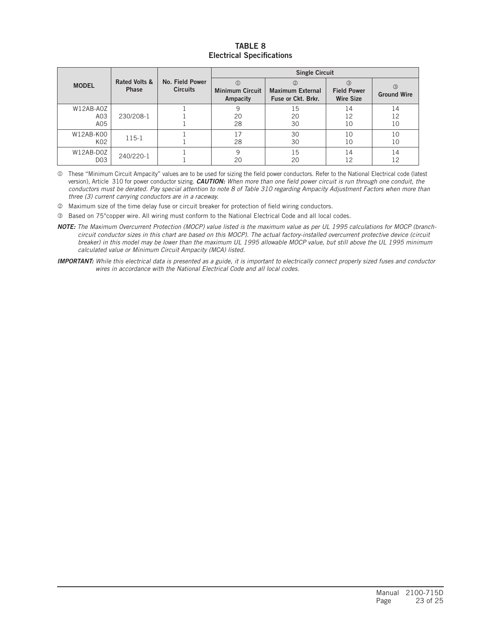#### TABLE 8 Electrical Specifications

|                              |                               |                                    |                                    | <b>Single Circuit</b>                                |                                                         |                                     |
|------------------------------|-------------------------------|------------------------------------|------------------------------------|------------------------------------------------------|---------------------------------------------------------|-------------------------------------|
| <b>MODEL</b>                 | Rated Volts &<br><b>Phase</b> | No. Field Power<br><b>Circuits</b> | <b>Minimum Circuit</b><br>Ampacity | (2)<br><b>Maximum External</b><br>Fuse or Ckt. Brkr. | $\circled{3}$<br><b>Field Power</b><br><b>Wire Size</b> | $\circled{3}$<br><b>Ground Wire</b> |
| W12AB-A0Z<br>A03<br>A05      | 230/208-1                     |                                    | 9<br>20<br>28                      | 15<br>20<br>30                                       | 14<br>12<br>10                                          | 14<br>12<br>10                      |
| W12AB-K00<br>K02             | 115-1                         |                                    | 17<br>28                           | 30<br>30                                             | 10<br>10                                                | 10<br>10                            |
| W12AB-D0Z<br>D <sub>03</sub> | 240/220-1                     |                                    | 9<br>20                            | 15<br>20                                             | 14<br>12                                                | 14<br>12                            |

 These "Minimum Circuit Ampacity" values are to be used for sizing the field power conductors. Refer to the National Electrical code (latest version), Article 310 for power conductor sizing. *CAUTION: When more than one field power circuit is run through one conduit, the conductors must be derated. Pay special attention to note 8 of Table 310 regarding Ampacity Adjustment Factors when more than three (3) current carrying conductors are in a raceway.*

Maximum size of the time delay fuse or circuit breaker for protection of field wiring conductors.

Based on 75°copper wire. All wiring must conform to the National Electrical Code and all local codes.

*NOTE: The Maximum Overcurrent Protection (MOCP) value listed is the maximum value as per UL 1995 calculations for MOCP (branchcircuit conductor sizes in this chart are based on this MOCP). The actual factory-installed overcurrent protective device (circuit breaker) in this model may be lower than the maximum UL 1995 allowable MOCP value, but still above the UL 1995 minimum calculated value or Minimum Circuit Ampacity (MCA) listed.*

*IMPORTANT: While this electrical data is presented as a guide, it is important to electrically connect properly sized fuses and conductor wires in accordance with the National Electrical Code and all local codes.*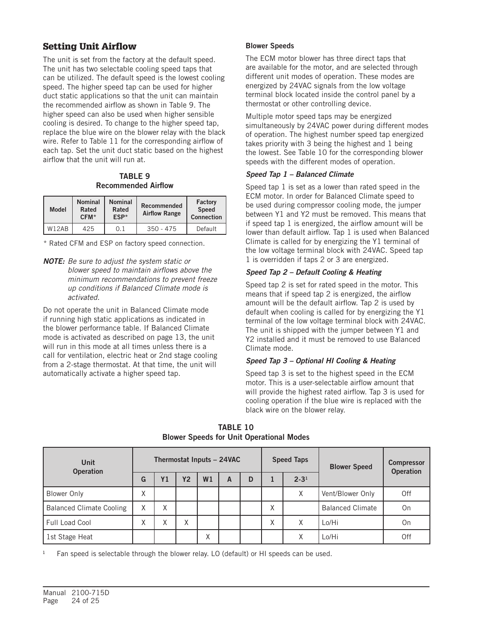# Setting Unit Airflow

The unit is set from the factory at the default speed. The unit has two selectable cooling speed taps that can be utilized. The default speed is the lowest cooling speed. The higher speed tap can be used for higher duct static applications so that the unit can maintain the recommended airflow as shown in Table 9. The higher speed can also be used when higher sensible cooling is desired. To change to the higher speed tap, replace the blue wire on the blower relay with the black wire. Refer to Table 11 for the corresponding airflow of each tap. Set the unit duct static based on the highest airflow that the unit will run at.

TABLE 9 Recommended Airflow

| <b>Model</b>                   | <b>Nominal</b><br>Rated<br>CFM* | <b>Nominal</b><br>Rated<br>ESP* | <b>Recommended</b><br><b>Airflow Range</b> | Factory<br><b>Speed</b><br><b>Connection</b> |
|--------------------------------|---------------------------------|---------------------------------|--------------------------------------------|----------------------------------------------|
| W <sub>12</sub> A <sub>R</sub> | 425                             | 0.1                             | $350 - 475$                                | Default                                      |

\* Rated CFM and ESP on factory speed connection.

*NOTE: Be sure to adjust the system static or blower speed to maintain airflows above the minimum recommendations to prevent freeze up conditions if Balanced Climate mode is activated.*

Do not operate the unit in Balanced Climate mode if running high static applications as indicated in the blower performance table. If Balanced Climate mode is activated as described on page 13, the unit will run in this mode at all times unless there is a call for ventilation, electric heat or 2nd stage cooling from a 2-stage thermostat. At that time, the unit will automatically activate a higher speed tap.

#### Blower Speeds

The ECM motor blower has three direct taps that are available for the motor, and are selected through different unit modes of operation. These modes are energized by 24VAC signals from the low voltage terminal block located inside the control panel by a thermostat or other controlling device.

Multiple motor speed taps may be energized simultaneously by 24VAC power during different modes of operation. The highest number speed tap energized takes priority with 3 being the highest and 1 being the lowest. See Table 10 for the corresponding blower speeds with the different modes of operation.

#### *Speed Tap 1 – Balanced Climate*

Speed tap 1 is set as a lower than rated speed in the ECM motor. In order for Balanced Climate speed to be used during compressor cooling mode, the jumper between Y1 and Y2 must be removed. This means that if speed tap 1 is energized, the airflow amount will be lower than default airflow. Tap 1 is used when Balanced Climate is called for by energizing the Y1 terminal of the low voltage terminal block with 24VAC. Speed tap 1 is overridden if taps 2 or 3 are energized.

#### *Speed Tap 2 – Default Cooling & Heating*

Speed tap 2 is set for rated speed in the motor. This means that if speed tap 2 is energized, the airflow amount will be the default airflow. Tap 2 is used by default when cooling is called for by energizing the Y1 terminal of the low voltage terminal block with 24VAC. The unit is shipped with the jumper between Y1 and Y2 installed and it must be removed to use Balanced Climate mode.

#### *Speed Tap 3 – Optional HI Cooling & Heating*

Speed tap 3 is set to the highest speed in the ECM motor. This is a user-selectable airflow amount that will provide the highest rated airflow. Tap 3 is used for cooling operation if the blue wire is replaced with the black wire on the blower relay.

| Unit<br><b>Operation</b>        | Thermostat Inputs - 24VAC |                   |                   |    |   |   |                   | <b>Speed Taps</b> | <b>Blower Speed</b>     | <b>Compressor</b><br><b>Operation</b> |
|---------------------------------|---------------------------|-------------------|-------------------|----|---|---|-------------------|-------------------|-------------------------|---------------------------------------|
|                                 | G                         | <b>Y1</b>         | <b>Y2</b>         | W1 | A | D | $2 - 31$          |                   |                         |                                       |
| Blower Only                     | ᄉ                         |                   |                   |    |   |   |                   | Χ                 | Vent/Blower Only        | Off                                   |
| <b>Balanced Climate Cooling</b> | Χ                         | $\checkmark$<br>⋏ |                   |    |   |   | Χ                 |                   | <b>Balanced Climate</b> | On                                    |
| Full Load Cool                  | v                         | X                 | $\checkmark$<br>ᄉ |    |   |   | $\checkmark$<br>ᄉ | χ                 | Lo/Hi                   | On                                    |
| 1st Stage Heat                  |                           |                   |                   | X  |   |   |                   | ᄉ                 | Lo/Hi                   | Off                                   |

TABLE 10 Blower Speeds for Unit Operational Modes

Fan speed is selectable through the blower relay. LO (default) or HI speeds can be used.